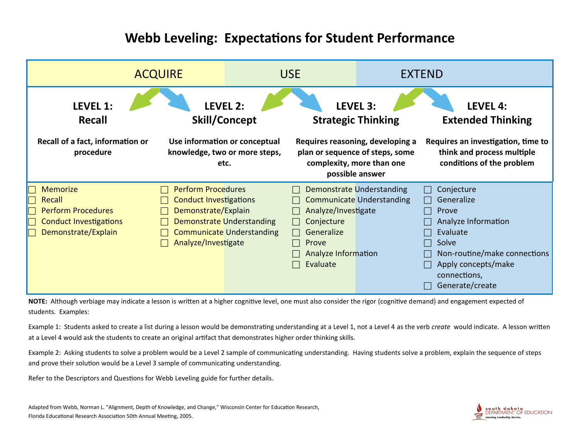## **Webb Leveling: Expectations for Student Performance**



NOTE: Although verbiage may indicate a lesson is written at a higher cognitive level, one must also consider the rigor (cognitive demand) and engagement expected of students. Examples:

Example 1: Students asked to create a list during a lesson would be demonstrating understanding at a Level 1, not a Level 4 as the verb *create* would indicate. A lesson written at a Level 4 would ask the students to create an original artifact that demonstrates higher order thinking skills.

Example 2: Asking students to solve a problem would be a Level 2 sample of communicating understanding. Having students solve a problem, explain the sequence of steps and prove their solution would be a Level 3 sample of communicating understanding.

Refer to the Descriptors and Questions for Webb Leveling guide for further details.

Adapted from Webb, Norman L. "Alignment, Depth of Knowledge, and Change," Wisconsin Center for Education Research, Florida Educational Research Association 50th Annual Meeting, 2005.

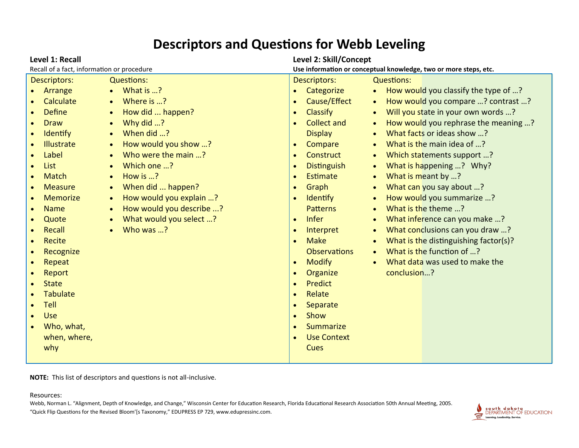## **Descriptors and Questions for Webb Leveling**

**NOTE:** This list of descriptors and questions is not all-inclusive.

#### Resources:

Webb, Norman L. "Alignment, Depth of Knowledge, and Change," Wisconsin Center for Education Research, Florida Educational Research Association 50th Annual Meeting, 2005. "Quick Flip Questions for the Revised Bloom'[s Taxonomy," EDUPRESS EP 729, www.edupressinc.com.